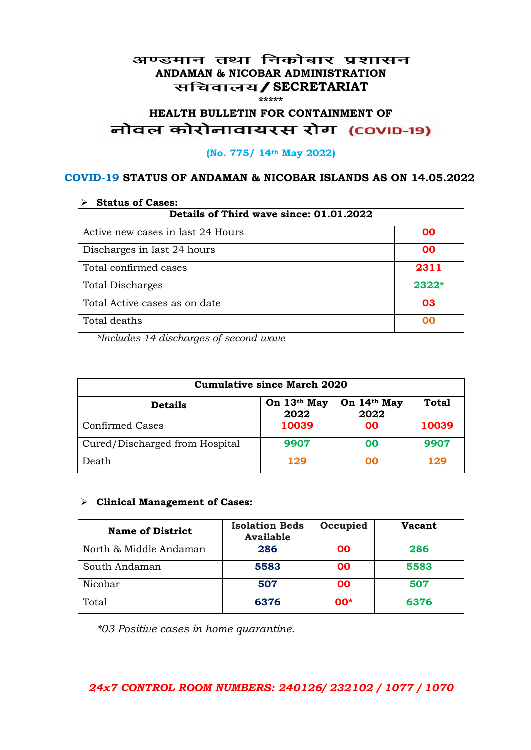### अण्डमान तथा निकोबार प्रशासन **ANDAMAN & NICOBAR ADMINISTRATION /SECRETARIAT \*\*\*\*\***

# **HEALTH BULLETIN FOR CONTAINMENT OF**  नोवल कोरोनावायरस रोग (COVID-19)

#### **(No. 775/ 14th May 2022)**

### **COVID-19 STATUS OF ANDAMAN & NICOBAR ISLANDS AS ON 14.05.2022**

| <b>Status of Cases:</b>                 |         |  |
|-----------------------------------------|---------|--|
| Details of Third wave since: 01.01.2022 |         |  |
| Active new cases in last 24 Hours       | 00      |  |
| Discharges in last 24 hours             | 00      |  |
| Total confirmed cases                   | 2311    |  |
| <b>Total Discharges</b>                 | $2322*$ |  |
| Total Active cases as on date           | 03      |  |
| Total deaths                            | OO      |  |

*\*Includes 14 discharges of second wave*

| <b>Cumulative since March 2020</b> |                     |                     |              |
|------------------------------------|---------------------|---------------------|--------------|
| <b>Details</b>                     | On 13th May<br>2022 | On 14th May<br>2022 | <b>Total</b> |
| <b>Confirmed Cases</b>             | 10039               | 00                  | 10039        |
| Cured/Discharged from Hospital     | 9907                | 00                  | 9907         |
| Death                              | 129                 | ററ                  | 129          |

#### **Clinical Management of Cases:**

| <b>Name of District</b> | <b>Isolation Beds</b><br><b>Available</b> | Occupied | <b>Vacant</b> |
|-------------------------|-------------------------------------------|----------|---------------|
| North & Middle Andaman  | 286                                       | 00       | 286           |
| South Andaman           | 5583                                      | 00       | 5583          |
| Nicobar                 | 507                                       | 00       | 507           |
| Total                   | 6376                                      | $00*$    | 6376          |

*\*03 Positive cases in home quarantine.*

## *24x7 CONTROL ROOM NUMBERS: 240126/ 232102 / 1077 / 1070*